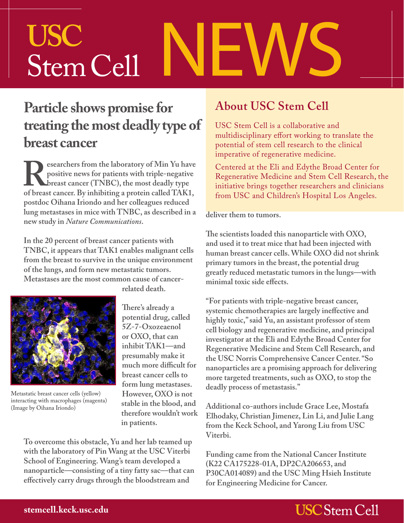# NEWS **USC** Stem Cell

### **Particle shows promise for treating the most deadly type of breast cancer**

**Researchers from the laboratory of Min Yu have** positive news for patients with triple-negative breast cancer. By inhibiting a protein called TAK1, **positive news for patients with triple-negative breast cancer (TNBC), the most deadly type postdoc Oihana Iriondo and her colleagues reduced lung metastases in mice with TNBC, as described in a new study in** *Nature Communications***.**

**In the 20 percent of breast cancer patients with TNBC, it appears that TAK1 enables malignant cells from the breast to survive in the unique environment of the lungs, and form new metastatic tumors. Metastases are the most common cause of cancer-**



Metastatic breast cancer cells (yellow) interacting with macrophages (magenta) (Image by Oihana Iriondo)

**related death.**

**There's already a potential drug, called 5Z-7-Oxozeaenol or OXO, that can inhibit TAK1—and presumably make it much more difficult for breast cancer cells to form lung metastases. However, OXO is not stable in the blood, and therefore wouldn't work in patients.**

**To overcome this obstacle, Yu and her lab teamed up with the laboratory of Pin Wang at the USC Viterbi School of Engineering. Wang's team developed a nanoparticle—consisting of a tiny fatty sac—that can effectively carry drugs through the bloodstream and** 

#### **About USC Stem Cell**

USC Stem Cell is a collaborative and multidisciplinary effort working to translate the potential of stem cell research to the clinical imperative of regenerative medicine.

Centered at the Eli and Edythe Broad Center for Regenerative Medicine and Stem Cell Research, the initiative brings together researchers and clinicians from USC and Children's Hospital Los Angeles.

#### **deliver them to tumors.**

**The scientists loaded this nanoparticle with OXO, and used it to treat mice that had been injected with human breast cancer cells. While OXO did not shrink primary tumors in the breast, the potential drug greatly reduced metastatic tumors in the lungs—with minimal toxic side effects.**

**"For patients with triple-negative breast cancer, systemic chemotherapies are largely ineffective and highly toxic," said Yu, an assistant professor of stem cell biology and regenerative medicine, and principal investigator at the Eli and Edythe Broad Center for Regenerative Medicine and Stem Cell Research, and the USC Norris Comprehensive Cancer Center. "So nanoparticles are a promising approach for delivering more targeted treatments, such as OXO, to stop the deadly process of metastasis."**

**Additional co-authors include Grace Lee, Mostafa Elhodaky, Christian Jimenez, Lin Li, and Julie Lang from the Keck School, and Yarong Liu from USC Viterbi.**

**Funding came from the National Cancer Institute (K22 CA175228-01A, DP2CA206653, and P30CA014089) and the USC Ming Hsieh Institute for Engineering Medicine for Cancer.**

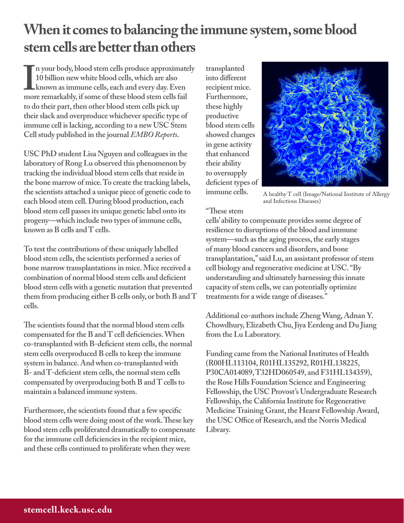## **When it comes to balancing the immune system, some blood stem cells are better than others**

II your body, blood stem cells produce approximate<br>
10 billion new white blood cells, which are also<br>
known as immune cells, each and every day. Even<br>
more remarkably, if some of these blood stem cells fail **n your body, blood stem cells produce approximately 10 billion new white blood cells, which are also known as immune cells, each and every day. Even to do their part, then other blood stem cells pick up their slack and overproduce whichever specific type of immune cell is lacking, according to a new USC Stem Cell study published in the journal** *EMBO Reports***.**

**USC PhD student Lisa Nguyen and colleagues in the laboratory of Rong Lu observed this phenomenon by tracking the individual blood stem cells that reside in the bone marrow of mice. To create the tracking labels, the scientists attached a unique piece of genetic code to each blood stem cell. During blood production, each blood stem cell passes its unique genetic label onto its progeny—which include two types of immune cells, known as B cells and T cells.**

**To test the contributions of these uniquely labelled blood stem cells, the scientists performed a series of bone marrow transplantations in mice. Mice received a combination of normal blood stem cells and deficient blood stem cells with a genetic mutation that prevented them from producing either B cells only, or both B and T cells.**

**The scientists found that the normal blood stem cells compensated for the B and T cell deficiencies. When co-transplanted with B-deficient stem cells, the normal stem cells overproduced B cells to keep the immune system in balance. And when co-transplanted with B- and T-deficient stem cells, the normal stem cells compensated by overproducing both B and T cells to maintain a balanced immune system.**

**Furthermore, the scientists found that a few specific blood stem cells were doing most of the work. These key blood stem cells proliferated dramatically to compensate for the immune cell deficiencies in the recipient mice, and these cells continued to proliferate when they were** 

**transplanted into different recipient mice. Furthermore, these highly productive blood stem cells showed changes in gene activity that enhanced their ability to oversupply deficient types of immune cells.**



A healthy T cell (Image/National Institute of Allergy and Infectious Diseases)

#### **"These stem**

**cells' ability to compensate provides some degree of resilience to disruptions of the blood and immune system—such as the aging process, the early stages of many blood cancers and disorders, and bone transplantation," said Lu, an assistant professor of stem cell biology and regenerative medicine at USC. "By understanding and ultimately harnessing this innate capacity of stem cells, we can potentially optimize treatments for a wide range of diseases."**

**Additional co-authors include Zheng Wang, Adnan Y. Chowdhury, Elizabeth Chu, Jiya Eerdeng and Du Jiang from the Lu Laboratory.**

**Funding came from the National Institutes of Health (R00HL113104, R01HL135292, R01HL138225, P30CA014089, T32HD060549, and F31HL134359), the Rose Hills Foundation Science and Engineering Fellowship, the USC Provost's Undergraduate Research Fellowship, the California Institute for Regenerative Medicine Training Grant, the Hearst Fellowship Award, the USC Office of Research, and the Norris Medical Library.**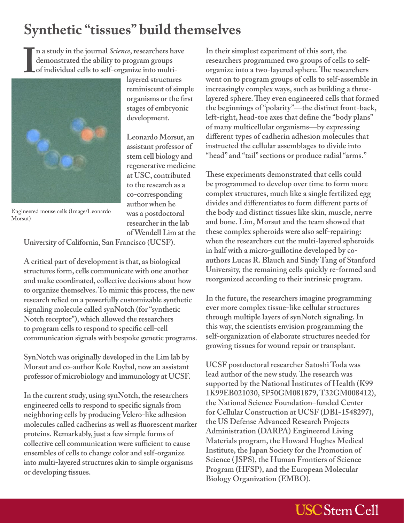## **Synthetic "tissues" build themselves**

**n a study in the journal** *Science***, researchers have demonstrated the ability to program groups of individual cells to self-organize into multi-**



Engineered mouse cells (Image/Leonardo Morsut)

**layered structures reminiscent of simple organisms or the first stages of embryonic development.**

**Leonardo Morsut, an assistant professor of stem cell biology and regenerative medicine at USC, contributed to the research as a co-corresponding author when he was a postdoctoral researcher in the lab of Wendell Lim at the** 

**University of California, San Francisco (UCSF).**

**A critical part of development is that, as biological structures form, cells communicate with one another and make coordinated, collective decisions about how to organize themselves. To mimic this process, the new research relied on a powerfully customizable synthetic signaling molecule called synNotch (for "synthetic Notch receptor"), which allowed the researchers to program cells to respond to specific cell-cell communication signals with bespoke genetic programs.**

**SynNotch was originally developed in the Lim lab by Morsut and co-author Kole Roybal, now an assistant professor of microbiology and immunology at UCSF.**

**In the current study, using synNotch, the researchers engineered cells to respond to specific signals from neighboring cells by producing Velcro-like adhesion molecules called cadherins as well as fluorescent marker proteins. Remarkably, just a few simple forms of collective cell communication were sufficient to cause ensembles of cells to change color and self-organize into multi-layered structures akin to simple organisms or developing tissues.**

**In their simplest experiment of this sort, the researchers programmed two groups of cells to selforganize into a two-layered sphere. The researchers went on to program groups of cells to self-assemble in increasingly complex ways, such as building a threelayered sphere. They even engineered cells that formed the beginnings of "polarity"—the distinct front-back, left-right, head-toe axes that define the "body plans" of many multicellular organisms—by expressing different types of cadherin adhesion molecules that instructed the cellular assemblages to divide into "head" and "tail" sections or produce radial "arms."**

**These experiments demonstrated that cells could be programmed to develop over time to form more complex structures, much like a single fertilized egg divides and differentiates to form different parts of the body and distinct tissues like skin, muscle, nerve and bone. Lim, Morsut and the team showed that these complex spheroids were also self-repairing: when the researchers cut the multi-layered spheroids in half with a micro-guillotine developed by coauthors Lucas R. Blauch and Sindy Tang of Stanford University, the remaining cells quickly re-formed and reorganized according to their intrinsic program.**

**In the future, the researchers imagine programming ever more complex tissue-like cellular structures through multiple layers of synNotch signaling. In this way, the scientists envision programming the self-organization of elaborate structures needed for growing tissues for wound repair or transplant.**

**UCSF postdoctoral researcher Satoshi Toda was lead author of the new study. The research was supported by the National Institutes of Health (K99 1K99EB021030, 5P50GM081879, T32GM008412), the National Science Foundation–funded Center for Cellular Construction at UCSF (DBI-1548297), the US Defense Advanced Research Projects Administration (DARPA) Engineered Living Materials program, the Howard Hughes Medical Institute, the Japan Society for the Promotion of Science ( JSPS), the Human Frontiers of Science Program (HFSP), and the European Molecular Biology Organization (EMBO).**